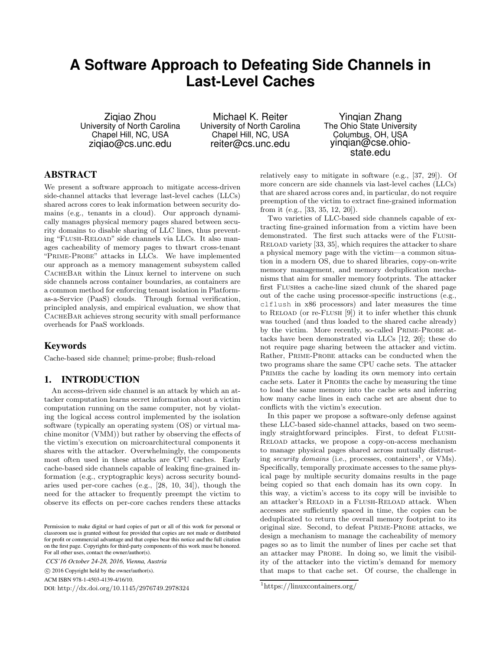# **A Software Approach to Defeating Side Channels in Last-Level Caches**

Zigiao Zhou University of North Carolina Chapel Hill, NC, USA ziqiao@cs.unc.edu

Michael K. Reiter University of North Carolina Chapel Hill, NC, USA reiter@cs.unc.edu

Yinqian Zhang The Ohio State University Columbus, OH, USA yinqian@cse.ohiostate.edu

# ABSTRACT

We present a software approach to mitigate access-driven side-channel attacks that leverage last-level caches (LLCs) shared across cores to leak information between security domains (e.g., tenants in a cloud). Our approach dynamically manages physical memory pages shared between security domains to disable sharing of LLC lines, thus preventing "Flush-Reload" side channels via LLCs. It also manages cacheability of memory pages to thwart cross-tenant "Prime-Probe" attacks in LLCs. We have implemented our approach as a memory management subsystem called CACHEBAR within the Linux kernel to intervene on such side channels across container boundaries, as containers are a common method for enforcing tenant isolation in Platformas-a-Service (PaaS) clouds. Through formal verification, principled analysis, and empirical evaluation, we show that CacheBar achieves strong security with small performance overheads for PaaS workloads.

# Keywords

Cache-based side channel; prime-probe; flush-reload

# 1. INTRODUCTION

An access-driven side channel is an attack by which an attacker computation learns secret information about a victim computation running on the same computer, not by violating the logical access control implemented by the isolation software (typically an operating system (OS) or virtual machine monitor (VMM)) but rather by observing the effects of the victim's execution on microarchitectural components it shares with the attacker. Overwhelmingly, the components most often used in these attacks are CPU caches. Early cache-based side channels capable of leaking fine-grained information (e.g., cryptographic keys) across security boundaries used per-core caches (e.g., [28, 10, 34]), though the need for the attacker to frequently preempt the victim to observe its effects on per-core caches renders these attacks

*CCS'16 October 24-28, 2016, Vienna, Austria*

c 2016 Copyright held by the owner/author(s).

ACM ISBN 978-1-4503-4139-4/16/10.

DOI: http://dx.doi.org/10.1145/2976749.2978324

relatively easy to mitigate in software (e.g., [37, 29]). Of more concern are side channels via last-level caches (LLCs) that are shared across cores and, in particular, do not require preemption of the victim to extract fine-grained information from it (e.g., [33, 35, 12, 20]).

Two varieties of LLC-based side channels capable of extracting fine-grained information from a victim have been demonstrated. The first such attacks were of the FLUSH-Reload variety [33, 35], which requires the attacker to share a physical memory page with the victim—a common situation in a modern OS, due to shared libraries, copy-on-write memory management, and memory deduplication mechanisms that aim for smaller memory footprints. The attacker first Flushes a cache-line sized chunk of the shared page out of the cache using processor-specific instructions (e.g., clflush in x86 processors) and later measures the time to RELOAD (or re-FLUSH [9]) it to infer whether this chunk was touched (and thus loaded to the shared cache already) by the victim. More recently, so-called Prime-Probe attacks have been demonstrated via LLCs [12, 20]; these do not require page sharing between the attacker and victim. Rather, Prime-Probe attacks can be conducted when the two programs share the same CPU cache sets. The attacker PRIMES the cache by loading its own memory into certain cache sets. Later it Probes the cache by measuring the time to load the same memory into the cache sets and inferring how many cache lines in each cache set are absent due to conflicts with the victim's execution.

In this paper we propose a software-only defense against these LLC-based side-channel attacks, based on two seemingly straightforward principles. First, to defeat Flush-Reload attacks, we propose a copy-on-access mechanism to manage physical pages shared across mutually distrusting security domains (i.e., processes, containers<sup>1</sup>, or VMs). Specifically, temporally proximate accesses to the same physical page by multiple security domains results in the page being copied so that each domain has its own copy. In this way, a victim's access to its copy will be invisible to an attacker's Reload in a Flush-Reload attack. When accesses are sufficiently spaced in time, the copies can be deduplicated to return the overall memory footprint to its original size. Second, to defeat Prime-Probe attacks, we design a mechanism to manage the cacheability of memory pages so as to limit the number of lines per cache set that an attacker may PROBE. In doing so, we limit the visibility of the attacker into the victim's demand for memory that maps to that cache set. Of course, the challenge in

Permission to make digital or hard copies of part or all of this work for personal or classroom use is granted without fee provided that copies are not made or distributed for profit or commercial advantage and that copies bear this notice and the full citation on the first page. Copyrights for third-party components of this work must be honored. For all other uses, contact the owner/author(s).

<sup>1</sup> https://linuxcontainers.org/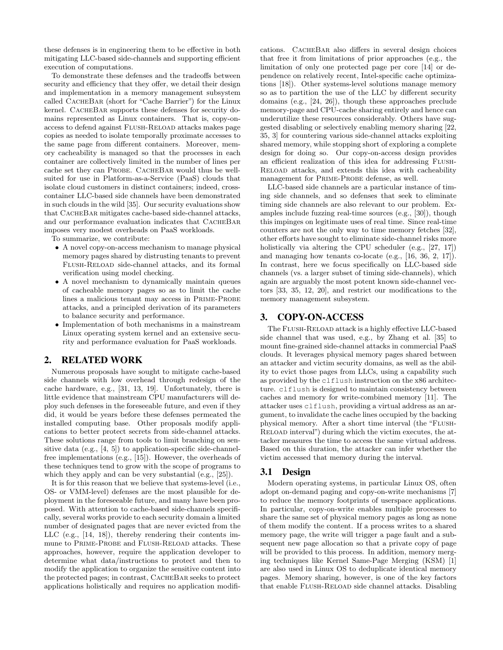these defenses is in engineering them to be effective in both mitigating LLC-based side-channels and supporting efficient execution of computations.

To demonstrate these defenses and the tradeoffs between security and efficiency that they offer, we detail their design and implementation in a memory management subsystem called CacheBar (short for "Cache Barrier") for the Linux kernel. CACHEBAR supports these defenses for security domains represented as Linux containers. That is, copy-onaccess to defend against Flush-Reload attacks makes page copies as needed to isolate temporally proximate accesses to the same page from different containers. Moreover, memory cacheability is managed so that the processes in each container are collectively limited in the number of lines per cache set they can PROBE. CACHEBAR would thus be wellsuited for use in Platform-as-a-Service (PaaS) clouds that isolate cloud customers in distinct containers; indeed, crosscontainer LLC-based side channels have been demonstrated in such clouds in the wild [35]. Our security evaluations show that CACHEBAR mitigates cache-based side-channel attacks, and our performance evaluation indicates that CACHEBAR imposes very modest overheads on PaaS workloads.

To summarize, we contribute:

- A novel copy-on-access mechanism to manage physical memory pages shared by distrusting tenants to prevent Flush-Reload side-channel attacks, and its formal verification using model checking.
- A novel mechanism to dynamically maintain queues of cacheable memory pages so as to limit the cache lines a malicious tenant may access in Prime-Probe attacks, and a principled derivation of its parameters to balance security and performance.
- Implementation of both mechanisms in a mainstream Linux operating system kernel and an extensive security and performance evaluation for PaaS workloads.

## 2. RELATED WORK

Numerous proposals have sought to mitigate cache-based side channels with low overhead through redesign of the cache hardware, e.g., [31, 13, 19]. Unfortunately, there is little evidence that mainstream CPU manufacturers will deploy such defenses in the foreseeable future, and even if they did, it would be years before these defenses permeated the installed computing base. Other proposals modify applications to better protect secrets from side-channel attacks. These solutions range from tools to limit branching on sensitive data (e.g., [4, 5]) to application-specific side-channelfree implementations (e.g., [15]). However, the overheads of these techniques tend to grow with the scope of programs to which they apply and can be very substantial (e.g., [25]).

It is for this reason that we believe that systems-level (i.e., OS- or VMM-level) defenses are the most plausible for deployment in the foreseeable future, and many have been proposed. With attention to cache-based side-channels specifically, several works provide to each security domain a limited number of designated pages that are never evicted from the LLC (e.g., [14, 18]), thereby rendering their contents immune to Prime-Probe and Flush-Reload attacks. These approaches, however, require the application developer to determine what data/instructions to protect and then to modify the application to organize the sensitive content into the protected pages; in contrast, CacheBar seeks to protect applications holistically and requires no application modifications. CacheBar also differs in several design choices that free it from limitations of prior approaches (e.g., the limitation of only one protected page per core [14] or dependence on relatively recent, Intel-specific cache optimizations [18]). Other systems-level solutions manage memory so as to partition the use of the LLC by different security domains (e.g., [24, 26]), though these approaches preclude memory-page and CPU-cache sharing entirely and hence can underutilize these resources considerably. Others have suggested disabling or selectively enabling memory sharing [22, 35, 3] for countering various side-channel attacks exploiting shared memory, while stopping short of exploring a complete design for doing so. Our copy-on-access design provides an efficient realization of this idea for addressing FLUSH-Reload attacks, and extends this idea with cacheability management for Prime-Probe defense, as well.

LLC-based side channels are a particular instance of timing side channels, and so defenses that seek to eliminate timing side channels are also relevant to our problem. Examples include fuzzing real-time sources (e.g., [30]), though this impinges on legitimate uses of real time. Since real-time counters are not the only way to time memory fetches [32], other efforts have sought to eliminate side-channel risks more holistically via altering the CPU scheduler (e.g., [27, 17]) and managing how tenants co-locate (e.g., [16, 36, 2, 17]). In contrast, here we focus specifically on LLC-based side channels (vs. a larger subset of timing side-channels), which again are arguably the most potent known side-channel vectors [33, 35, 12, 20], and restrict our modifications to the memory management subsystem.

# 3. COPY-ON-ACCESS

The Flush-Reload attack is a highly effective LLC-based side channel that was used, e.g., by Zhang et al. [35] to mount fine-grained side-channel attacks in commercial PaaS clouds. It leverages physical memory pages shared between an attacker and victim security domains, as well as the ability to evict those pages from LLCs, using a capability such as provided by the clflush instruction on the x86 architecture. clflush is designed to maintain consistency between caches and memory for write-combined memory [11]. The attacker uses clflush, providing a virtual address as an argument, to invalidate the cache lines occupied by the backing physical memory. After a short time interval (the "Flush-RELOAD interval") during which the victim executes, the attacker measures the time to access the same virtual address. Based on this duration, the attacker can infer whether the victim accessed that memory during the interval.

## 3.1 Design

Modern operating systems, in particular Linux OS, often adopt on-demand paging and copy-on-write mechanisms [7] to reduce the memory footprints of userspace applications. In particular, copy-on-write enables multiple processes to share the same set of physical memory pages as long as none of them modify the content. If a process writes to a shared memory page, the write will trigger a page fault and a subsequent new page allocation so that a private copy of page will be provided to this process. In addition, memory merging techniques like Kernel Same-Page Merging (KSM) [1] are also used in Linux OS to deduplicate identical memory pages. Memory sharing, however, is one of the key factors that enable Flush-Reload side channel attacks. Disabling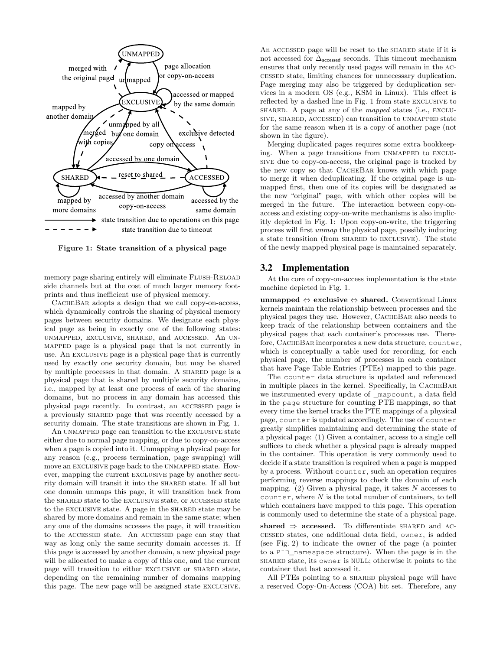

Figure 1: State transition of a physical page

memory page sharing entirely will eliminate FLUSH-RELOAD side channels but at the cost of much larger memory footprints and thus inefficient use of physical memory.

CacheBar adopts a design that we call copy-on-access, which dynamically controls the sharing of physical memory pages between security domains. We designate each physical page as being in exactly one of the following states: unmapped, exclusive, shared, and accessed. An unmapped page is a physical page that is not currently in use. An exclusive page is a physical page that is currently used by exactly one security domain, but may be shared by multiple processes in that domain. A SHARED page is a physical page that is shared by multiple security domains, i.e., mapped by at least one process of each of the sharing domains, but no process in any domain has accessed this physical page recently. In contrast, an accessed page is a previously shared page that was recently accessed by a security domain. The state transitions are shown in Fig. 1.

An UNMAPPED page can transition to the EXCLUSIVE state either due to normal page mapping, or due to copy-on-access when a page is copied into it. Unmapping a physical page for any reason (e.g., process termination, page swapping) will move an EXCLUSIVE page back to the UNMAPPED state. However, mapping the current exclusive page by another security domain will transit it into the SHARED state. If all but one domain unmaps this page, it will transition back from the SHARED state to the EXCLUSIVE state, or ACCESSED state to the EXCLUSIVE state. A page in the SHARED state may be shared by more domains and remain in the same state; when any one of the domains accesses the page, it will transition to the accessed state. An accessed page can stay that way as long only the same security domain accesses it. If this page is accessed by another domain, a new physical page will be allocated to make a copy of this one, and the current page will transition to either EXCLUSIVE or SHARED state, depending on the remaining number of domains mapping this page. The new page will be assigned state EXCLUSIVE.

An ACCESSED page will be reset to the SHARED state if it is not accessed for  $\Delta_{\text{accessed}}$  seconds. This timeout mechanism ensures that only recently used pages will remain in the accessed state, limiting chances for unnecessary duplication. Page merging may also be triggered by deduplication services in a modern OS (e.g., KSM in Linux). This effect is reflected by a dashed line in Fig. 1 from state exclusive to SHARED. A page at any of the mapped states (i.e., EXCLUsive, shared, accessed) can transition to unmapped state for the same reason when it is a copy of another page (not shown in the figure).

Merging duplicated pages requires some extra bookkeeping. When a page transitions from UNMAPPED to EXCLUsive due to copy-on-access, the original page is tracked by the new copy so that CACHEBAR knows with which page to merge it when deduplicating. If the original page is unmapped first, then one of its copies will be designated as the new "original" page, with which other copies will be merged in the future. The interaction between copy-onaccess and existing copy-on-write mechanisms is also implicitly depicted in Fig. 1: Upon copy-on-write, the triggering process will first unmap the physical page, possibly inducing a state transition (from SHARED to EXCLUSIVE). The state of the newly mapped physical page is maintained separately.

## 3.2 Implementation

At the core of copy-on-access implementation is the state machine depicted in Fig. 1.

unmapped  $\Leftrightarrow$  exclusive  $\Leftrightarrow$  shared. Conventional Linux kernels maintain the relationship between processes and the physical pages they use. However, CacheBar also needs to keep track of the relationship between containers and the physical pages that each container's processes use. Therefore, CacheBar incorporates a new data structure, counter, which is conceptually a table used for recording, for each physical page, the number of processes in each container that have Page Table Entries (PTEs) mapped to this page.

The counter data structure is updated and referenced in multiple places in the kernel. Specifically, in CACHEBAR we instrumented every update of mapcount, a data field in the page structure for counting PTE mappings, so that every time the kernel tracks the PTE mappings of a physical page, counter is updated accordingly. The use of counter greatly simplifies maintaining and determining the state of a physical page: (1) Given a container, access to a single cell suffices to check whether a physical page is already mapped in the container. This operation is very commonly used to decide if a state transition is required when a page is mapped by a process. Without counter, such an operation requires performing reverse mappings to check the domain of each mapping. (2) Given a physical page, it takes  $N$  accesses to counter, where  $N$  is the total number of containers, to tell which containers have mapped to this page. This operation is commonly used to determine the state of a physical page.

shared  $\Rightarrow$  accessed. To differentiate SHARED and ACcessed states, one additional data field, owner, is added (see Fig. 2) to indicate the owner of the page (a pointer to a PID\_namespace structure). When the page is in the shared state, its owner is NULL; otherwise it points to the container that last accessed it.

All PTEs pointing to a shared physical page will have a reserved Copy-On-Access (COA) bit set. Therefore, any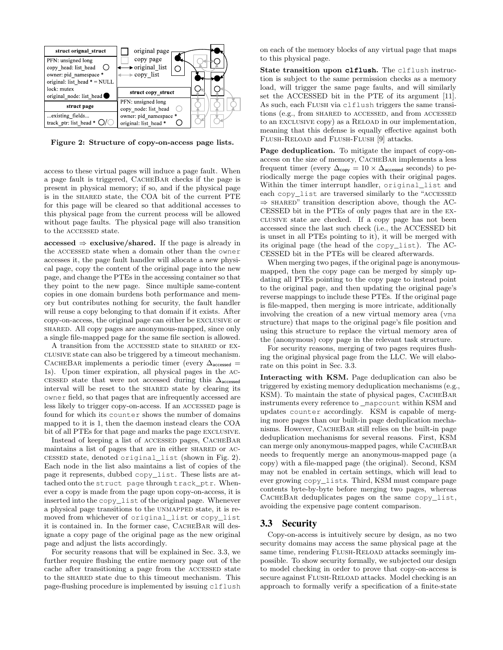

Figure 2: Structure of copy-on-access page lists.

access to these virtual pages will induce a page fault. When a page fault is triggered, CacheBar checks if the page is present in physical memory; if so, and if the physical page is in the shared state, the COA bit of the current PTE for this page will be cleared so that additional accesses to this physical page from the current process will be allowed without page faults. The physical page will also transition to the ACCESSED state.

 $accessed \Rightarrow exclusive/shared.$  If the page is already in the ACCESSED state when a domain other than the owner accesses it, the page fault handler will allocate a new physical page, copy the content of the original page into the new page, and change the PTEs in the accessing container so that they point to the new page. Since multiple same-content copies in one domain burdens both performance and memory but contributes nothing for security, the fault handler will reuse a copy belonging to that domain if it exists. After copy-on-access, the original page can either be exclusive or shared. All copy pages are anonymous-mapped, since only a single file-mapped page for the same file section is allowed.

A transition from the ACCESSED state to SHARED or EXclusive state can also be triggered by a timeout mechanism. CACHEBAR implements a periodic timer (every  $\Delta_{\text{accessed}} =$ 1s). Upon timer expiration, all physical pages in the ac-CESSED state that were not accessed during this  $\Delta$ <sub>accessed</sub> interval will be reset to the SHARED state by clearing its owner field, so that pages that are infrequently accessed are less likely to trigger copy-on-access. If an ACCESSED page is found for which its counter shows the number of domains mapped to it is 1, then the daemon instead clears the COA bit of all PTEs for that page and marks the page EXCLUSIVE.

Instead of keeping a list of accessed pages, CacheBar maintains a list of pages that are in either SHARED or ACcessed state, denoted original\_list (shown in Fig. 2). Each node in the list also maintains a list of copies of the page it represents, dubbed copy\_list. These lists are attached onto the struct page through track\_ptr. Whenever a copy is made from the page upon copy-on-access, it is inserted into the copy\_list of the original page. Whenever a physical page transitions to the unmapped state, it is removed from whichever of original\_list or copy\_list it is contained in. In the former case, CACHEBAR will designate a copy page of the original page as the new original page and adjust the lists accordingly.

For security reasons that will be explained in Sec. 3.3, we further require flushing the entire memory page out of the cache after transitioning a page from the ACCESSED state to the SHARED state due to this timeout mechanism. This page-flushing procedure is implemented by issuing clflush

on each of the memory blocks of any virtual page that maps to this physical page.

State transition upon **clflush**. The clflush instruction is subject to the same permission checks as a memory load, will trigger the same page faults, and will similarly set the ACCESSED bit in the PTE of its argument [11]. As such, each Flush via clflush triggers the same transitions (e.g., from SHARED to ACCESSED, and from ACCESSED to an EXCLUSIVE copy) as a RELOAD in our implementation, meaning that this defense is equally effective against both Flush-Reload and Flush-Flush [9] attacks.

Page deduplication. To mitigate the impact of copy-onaccess on the size of memory, CACHEBAR implements a less frequent timer (every  $\Delta_{\text{copy}} = 10 \times \Delta_{\text{accessed}}$  seconds) to periodically merge the page copies with their original pages. Within the timer interrupt handler, original\_list and each copy\_list are traversed similarly to the "accessed  $\Rightarrow$  SHARED" transition description above, though the AC-CESSED bit in the PTEs of only pages that are in the exclusive state are checked. If a copy page has not been accessed since the last such check (i.e., the ACCESSED bit is unset in all PTEs pointing to it), it will be merged with its original page (the head of the copy\_list). The AC-CESSED bit in the PTEs will be cleared afterwards.

When merging two pages, if the original page is anonymousmapped, then the copy page can be merged by simply updating all PTEs pointing to the copy page to instead point to the original page, and then updating the original page's reverse mappings to include these PTEs. If the original page is file-mapped, then merging is more intricate, additionally involving the creation of a new virtual memory area (vma structure) that maps to the original page's file position and using this structure to replace the virtual memory area of the (anonymous) copy page in the relevant task structure.

For security reasons, merging of two pages requires flushing the original physical page from the LLC. We will elaborate on this point in Sec. 3.3.

Interacting with KSM. Page deduplication can also be triggered by existing memory deduplication mechanisms (e.g., KSM). To maintain the state of physical pages, CACHEBAR instruments every reference to \_mapcount within KSM and updates counter accordingly. KSM is capable of merging more pages than our built-in page deduplication mechanisms. However, CacheBar still relies on the built-in page deduplication mechanisms for several reasons. First, KSM can merge only anonymous-mapped pages, while CACHEBAR needs to frequently merge an anonymous-mapped page (a copy) with a file-mapped page (the original). Second, KSM may not be enabled in certain settings, which will lead to ever growing copy\_lists. Third, KSM must compare page contents byte-by-byte before merging two pages, whereas CACHEBAR deduplicates pages on the same copy\_list, avoiding the expensive page content comparison.

## 3.3 Security

Copy-on-access is intuitively secure by design, as no two security domains may access the same physical page at the same time, rendering FLUSH-RELOAD attacks seemingly impossible. To show security formally, we subjected our design to model checking in order to prove that copy-on-access is secure against FLUSH-RELOAD attacks. Model checking is an approach to formally verify a specification of a finite-state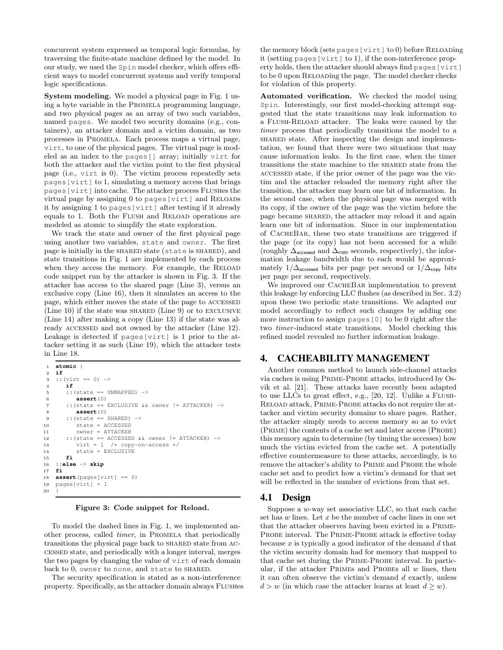concurrent system expressed as temporal logic formulas, by traversing the finite-state machine defined by the model. In our study, we used the Spin model checker, which offers efficient ways to model concurrent systems and verify temporal logic specifications.

System modeling. We model a physical page in Fig. 1 using a byte variable in the Promela programming language, and two physical pages as an array of two such variables, named pages. We model two security domains (e.g., containers), an attacker domain and a victim domain, as two processes in Promela. Each process maps a virtual page, virt, to one of the physical pages. The virtual page is modeled as an index to the pages[] array; initially virt for both the attacker and the victim point to the first physical page (i.e., virt is 0). The victim process repeatedly sets pages[virt] to 1, simulating a memory access that brings pages[virt] into cache. The attacker process Flushes the virtual page by assigning 0 to pages [virt] and RELOADs it by assigning 1 to pages[virt] after testing if it already equals to 1. Both the FLUSH and RELOAD operations are modeled as atomic to simplify the state exploration.

We track the state and owner of the first physical page using another two variables, state and owner. The first page is initially in the SHARED state (state is SHARED), and state transitions in Fig. 1 are implemented by each process when they access the memory. For example, the RELOAD code snippet run by the attacker is shown in Fig. 3. If the attacker has access to the shared page (Line 3), versus an exclusive copy (Line 16), then it simulates an access to the page, which either moves the state of the page to ACCESSED (Line 10) if the state was SHARED (Line 9) or to EXCLUSIVE (Line 14) after making a copy (Line 13) if the state was already ACCESSED and not owned by the attacker (Line 12). Leakage is detected if pages[virt] is 1 prior to the attacker setting it as such (Line 19), which the attacker tests in Line 18.

```
1 atomic {
2 if<br>3 ::
   ::(virt == 0) ->4 if
      :: (state == UNMAPPED) ->
6 assert(0)
7 ::(state == EXCLUSIVE && owner != ATTACKER) ->
8 assert(0)
9:: (state == SHARED) ->
10 state = ACCESSED
11 owner = ATTACKER
12 ::(state == ACCESSED && owner != ATTACKER) ->
13 \text{virt} = 1 \neq \text{copy-on-access} \neq 14<br>14 \text{state} = \text{EXCLUSIVE}state = EXCLUSIVE15 fi
16 ::else -> skip
17 fi
18 assert(pages[virt] == 0)
19 pages[virt] = 1
20
```
Figure 3: Code snippet for Reload.

To model the dashed lines in Fig. 1, we implemented another process, called timer, in Promela that periodically transitions the physical page back to SHARED state from ACcessed state, and periodically with a longer interval, merges the two pages by changing the value of virt of each domain back to 0, owner to none, and state to SHARED.

The security specification is stated as a non-interference property. Specifically, as the attacker domain always Flushes the memory block (sets pages [virt] to 0) before RELOADing it (setting pages [virt] to 1), if the non-interference property holds, then the attacker should always find pages [virt] to be 0 upon Reloading the page. The model checker checks for violation of this property.

Automated verification. We checked the model using Spin. Interestingly, our first model-checking attempt suggested that the state transitions may leak information to a Flush-Reload attacker. The leaks were caused by the timer process that periodically transitions the model to a SHARED state. After inspecting the design and implementation, we found that there were two situations that may cause information leaks. In the first case, when the timer transitions the state machine to the SHARED state from the accessed state, if the prior owner of the page was the victim and the attacker reloaded the memory right after the transition, the attacker may learn one bit of information. In the second case, when the physical page was merged with its copy, if the owner of the page was the victim before the page became SHARED, the attacker may reload it and again learn one bit of information. Since in our implementation of CacheBar, these two state transitions are triggered if the page (or its copy) has not been accessed for a while (roughly  $\Delta_{\text{accessed}}$  and  $\Delta_{\text{copy}}$  seconds, respectively), the information leakage bandwidth due to each would be approximately  $1/\Delta_{\text{accessed}}$  bits per page per second or  $1/\Delta_{\text{conv}}$  bits per page per second, respectively.

We improved our CACHEBAR implementation to prevent this leakage by enforcing LLC flushes (as described in Sec. 3.2) upon these two periodic state transitions. We adapted our model accordingly to reflect such changes by adding one more instruction to assign pages[0] to be 0 right after the two timer-induced state transitions. Model checking this refined model revealed no further information leakage.

# 4. CACHEABILITY MANAGEMENT

Another common method to launch side-channel attacks via caches is using Prime-Probe attacks, introduced by Osvik et al. [21]. These attacks have recently been adapted to use LLCs to great effect, e.g.,  $[20, 12]$ . Unlike a FLUSH-Reload attack, Prime-Probe attacks do not require the attacker and victim security domains to share pages. Rather, the attacker simply needs to access memory so as to evict (Prime) the contents of a cache set and later access (Probe) this memory again to determine (by timing the accesses) how much the victim evicted from the cache set. A potentially effective countermeasure to these attacks, accordingly, is to remove the attacker's ability to PRIME and PROBE the whole cache set and to predict how a victim's demand for that set will be reflected in the number of evictions from that set.

## 4.1 Design

Suppose a  $w$ -way set associative LLC, so that each cache set has  $w$  lines. Let  $x$  be the number of cache lines in one set that the attacker observes having been evicted in a Prime-PROBE interval. The PRIME-PROBE attack is effective today because  $x$  is typically a good indicator of the demand  $d$  that the victim security domain had for memory that mapped to that cache set during the Prime-Probe interval. In particular, if the attacker PRIMEs and PROBES all  $w$  lines, then it can often observe the victim's demand d exactly, unless  $d > w$  (in which case the attacker learns at least  $d \geq w$ ).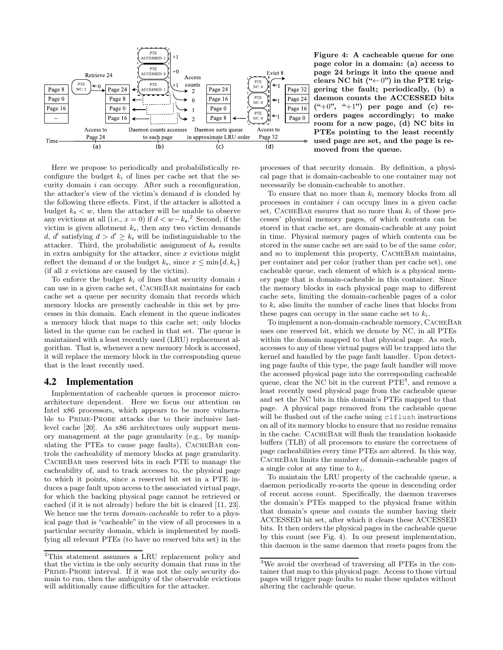

Here we propose to periodically and probabilistically reconfigure the budget  $k_i$  of lines per cache set that the security domain  $i$  can occupy. After such a reconfiguration, the attacker's view of the victim's demand  $d$  is clouded by the following three effects. First, if the attacker is allotted a budget  $k_a < w$ , then the attacker will be unable to observe any evictions at all (i.e.,  $x = 0$ ) if  $d < w - k_a$ <sup>2</sup> Second, if the victim is given allotment  $k_v$ , then any two victim demands d, d' satisfying  $d > d' \geq k_{v}$  will be indistinguishable to the attacker. Third, the probabilistic assignment of  $k_{v}$  results in extra ambiguity for the attacker, since  $x$  evictions might reflect the demand d or the budget  $k_v$ , since  $x \le \min\{d, k_v\}$ (if all  $x$  evictions are caused by the victim).

To enforce the budget  $k_i$  of lines that security domain i can use in a given cache set, CACHEBAR maintains for each cache set a queue per security domain that records which memory blocks are presently cacheable in this set by processes in this domain. Each element in the queue indicates a memory block that maps to this cache set; only blocks listed in the queue can be cached in that set. The queue is maintained with a least recently used (LRU) replacement algorithm. That is, whenever a new memory block is accessed, it will replace the memory block in the corresponding queue that is the least recently used.

#### 4.2 Implementation

Implementation of cacheable queues is processor microarchitecture dependent. Here we focus our attention on Intel x86 processors, which appears to be more vulnerable to Prime-Probe attacks due to their inclusive lastlevel cache [20]. As x86 architectures only support memory management at the page granularity (e.g., by manipulating the PTEs to cause page faults), CacheBar controls the cacheability of memory blocks at page granularity. CACHEBAR uses reserved bits in each PTE to manage the cacheability of, and to track accesses to, the physical page to which it points, since a reserved bit set in a PTE induces a page fault upon access to the associated virtual page, for which the backing physical page cannot be retrieved or cached (if it is not already) before the bit is cleared [11, 23]. We hence use the term *domain-cacheable* to refer to a physical page that is "cacheable" in the view of all processes in a particular security domain, which is implemented by modifying all relevant PTEs (to have no reserved bits set) in the

Figure 4: A cacheable queue for one page color in a domain: (a) access to page 24 brings it into the queue and clears NC bit (" $\leftarrow$ 0") in the PTE triggering the fault; periodically, (b) a daemon counts the ACCESSED bits  $(*+0", *+1")$  per page and (c) reorders pages accordingly; to make room for a new page, (d) NC bits in PTEs pointing to the least recently used page are set, and the page is removed from the queue.

processes of that security domain. By definition, a physical page that is domain-cacheable to one container may not necessarily be domain-cacheable to another.

To ensure that no more than  $k_i$  memory blocks from all processes in container  $i$  can occupy lines in a given cache set, CACHEBAR ensures that no more than  $k_i$  of those processes' physical memory pages, of which contents can be stored in that cache set, are domain-cacheable at any point in time. Physical memory pages of which contents can be stored in the same cache set are said to be of the same color, and so to implement this property, CACHEBAR maintains, per container and per color (rather than per cache set), one cacheable queue, each element of which is a physical memory page that is domain-cacheable in this container. Since the memory blocks in each physical page map to different cache sets, limiting the domain-cacheable pages of a color to  $k_i$  also limits the number of cache lines that blocks from these pages can occupy in the same cache set to  $k_i$ .

To implement a non-domain-cacheable memory, CACHEBAR uses one reserved bit, which we denote by NC, in all PTEs within the domain mapped to that physical page. As such, accesses to any of these virtual pages will be trapped into the kernel and handled by the page fault handler. Upon detecting page faults of this type, the page fault handler will move the accessed physical page into the corresponding cacheable queue, clear the NC bit in the current  $PTE^3$ , and remove a least recently used physical page from the cacheable queue and set the NC bits in this domain's PTEs mapped to that page. A physical page removed from the cacheable queue will be flushed out of the cache using clflush instructions on all of its memory blocks to ensure that no residue remains in the cache. CACHEBAR will flush the translation lookaside buffers (TLB) of all processors to ensure the correctness of page cacheabilities every time PTEs are altered. In this way, CacheBar limits the number of domain-cacheable pages of a single color at any time to  $k_i$ .

To maintain the LRU property of the cacheable queue, a daemon periodically re-sorts the queue in descending order of recent access count. Specifically, the daemon traverses the domain's PTEs mapped to the physical frame within that domain's queue and counts the number having their ACCESSED bit set, after which it clears these ACCESSED bits. It then orders the physical pages in the cacheable queue by this count (see Fig. 4). In our present implementation, this daemon is the same daemon that resets pages from the

<sup>2</sup>This statement assumes a LRU replacement policy and that the victim is the only security domain that runs in the PRIME-PROBE interval. If it was not the only security domain to run, then the ambiguity of the observable evictions will additionally cause difficulties for the attacker.

<sup>3</sup>We avoid the overhead of traversing all PTEs in the container that map to this physical page. Access to those virtual pages will trigger page faults to make these updates without altering the cacheable queue.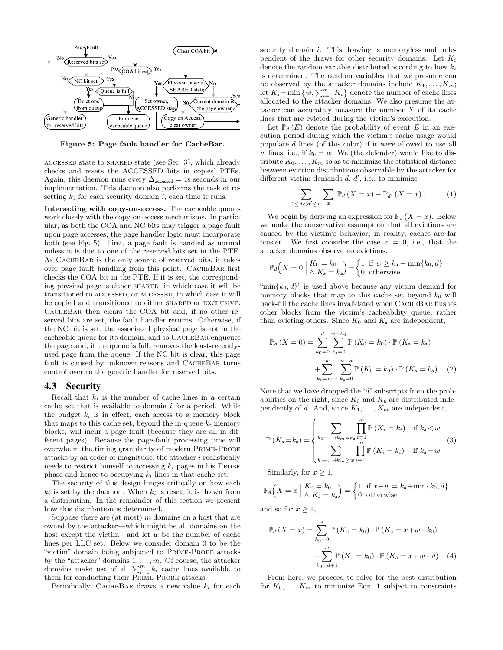

Figure 5: Page fault handler for CacheBar.

accessed state to shared state (see Sec. 3), which already checks and resets the ACCESSED bits in copies' PTEs. Again, this daemon runs every  $\Delta_{\text{accessed}} = 1$ s seconds in our implementation. This daemon also performs the task of resetting  $k_i$  for each security domain i, each time it runs.

Interacting with copy-on-access. The cacheable queues work closely with the copy-on-access mechanisms. In particular, as both the COA and NC bits may trigger a page fault upon page accesses, the page handler logic must incorporate both (see Fig. 5). First, a page fault is handled as normal unless it is due to one of the reserved bits set in the PTE. As CACHEBAR is the only source of reserved bits, it takes over page fault handling from this point. CacheBar first checks the COA bit in the PTE. If it is set, the corresponding physical page is either shared, in which case it will be transitioned to accessed, or accessed, in which case it will be copied and transitioned to either SHARED or EXCLUSIVE. CacheBar then clears the COA bit and, if no other reserved bits are set, the fault handler returns. Otherwise, if the NC bit is set, the associated physical page is not in the cacheable queue for its domain, and so CacheBar enqueues the page and, if the queue is full, removes the least-recentlyused page from the queue. If the NC bit is clear, this page fault is caused by unknown reasons and CACHEBAR turns control over to the generic handler for reserved bits.

#### 4.3 Security

Recall that  $k_i$  is the number of cache lines in a certain cache set that is available to domain  $i$  for a period. While the budget  $k_i$  is in effect, each access to a memory block that maps to this cache set, beyond the in-queue  $k_i$  memory blocks, will incur a page fault (because they are all in different pages). Because the page-fault processing time will overwhelm the timing granularity of modern Prime-Probe attacks by an order of magnitude, the attacker i realistically needs to restrict himself to accessing  $k_i$  pages in his PROBE phase and hence to occupying  $k_i$  lines in that cache set.

The security of this design hinges critically on how each  $k_i$  is set by the daemon. When  $k_i$  is reset, it is drawn from a distribution. In the remainder of this section we present how this distribution is determined.

Suppose there are (at most)  $m$  domains on a host that are owned by the attacker—which might be all domains on the host except the victim—and let  $w$  be the number of cache lines per LLC set. Below we consider domain 0 to be the "victim" domain being subjected to Prime-Probe attacks by the "attacker" domains  $1, \ldots, m$ . Of course, the attacker domains make use of all  $\sum_{i=1}^{m} k_i$  cache lines available to them for conducting their PRIME-PROBE attacks.

Periodically, CACHEBAR draws a new value  $k_i$  for each

security domain *i*. This drawing is memoryless and independent of the draws for other security domains. Let  $K_i$ denote the random variable distributed according to how  $k_i$ is determined. The random variables that we presume can be observed by the attacker domains include  $K_1, \ldots, K_m$ ; let  $K_{\mathsf{a}} = \min \left\{ w, \sum_{i=1}^{m} K_i \right\}$  denote the number of cache lines allocated to the attacker domains. We also presume the attacker can accurately measure the number  $X$  of its cache lines that are evicted during the victim's execution.

Let  $\mathbb{P}_d(E)$  denote the probability of event E in an execution period during which the victim's cache usage would populate d lines (of this color) if it were allowed to use all w lines, i.e., if  $k_0 = w$ . We (the defender) would like to distribute  $K_0, \ldots, K_m$  so as to minimize the statistical distance between eviction distributions observable by the attacker for different victim demands  $d, d'$ , i.e., to minimize

$$
\sum_{0 \le d < d' \le w} \sum_{x} |\mathbb{P}_d(X = x) - \mathbb{P}_{d'}(X = x)| \tag{1}
$$

We begin by deriving an expression for  $\mathbb{P}_d(X = x)$ . Below we make the conservative assumption that all evictions are caused by the victim's behavior; in reality, caches are far noisier. We first consider the case  $x = 0$ , i.e., that the attacker domains observe no evictions.

$$
\mathbb{P}_d\Big(X=0\;\Big|\begin{array}{l}K_0=k_0\\ \wedge \ K_{{\sf a}}=k_{{\sf a}}\end{array}\Big)=\begin{cases}1\;\; \text{if}\; w\geq k_{{\sf a}}+\min\{k_0,d\}\\0 \;\; \text{otherwise}\end{cases}
$$

"min ${k_0, d}$ " is used above because any victim demand for memory blocks that map to this cache set beyond  $k_0$  will back-fill the cache lines invalidated when CACHEBAR flushes other blocks from the victim's cacheability queue, rather than evicting others. Since  $K_0$  and  $K_a$  are independent,

$$
\mathbb{P}_d(X = 0) = \sum_{k_0=0}^d \sum_{k_a=0}^{w-k_0} \mathbb{P}(K_0 = k_0) \cdot \mathbb{P}(K_a = k_a)
$$

$$
+ \sum_{k_0=d+1}^w \sum_{k_a=0}^{w-d} \mathbb{P}(K_0 = k_0) \cdot \mathbb{P}(K_a = k_a) \quad (2)
$$

Note that we have dropped the "d" subscripts from the probabilities on the right, since  $K_0$  and  $K_a$  are distributed independently of d. And, since  $K_1, \ldots, K_m$  are independent,

$$
\mathbb{P}\left(K_{\mathsf{a}}=k_{\mathsf{a}}\right)=\begin{cases} \sum_{k_{1}+\ldots+k_{m}=k_{\mathsf{a}}}\prod_{i=1}^{m}\mathbb{P}\left(K_{i}=k_{i}\right) & \text{if }k_{\mathsf{a}}
$$

Similarly, for  $x \geq 1$ ,

$$
\mathbb{P}_d\Big(X = x \mid \begin{matrix} K_0 = k_0 \\ \wedge K_a = k_a \end{matrix} \Big) = \begin{cases} 1 & \text{if } x + w = k_a + \min\{k_0, d\} \\ 0 & \text{otherwise} \end{cases}
$$

and so for  $x \geq 1$ ,

$$
\mathbb{P}_d(X = x) = \sum_{k_0=0}^d \mathbb{P}(K_0 = k_0) \cdot \mathbb{P}(K_a = x + w - k_0)
$$

$$
+ \sum_{k_0=d+1}^w \mathbb{P}(K_0 = k_0) \cdot \mathbb{P}(K_a = x + w - d) \quad (4)
$$

From here, we proceed to solve for the best distribution for  $K_0, \ldots, K_m$  to minimize Eqn. 1 subject to constraints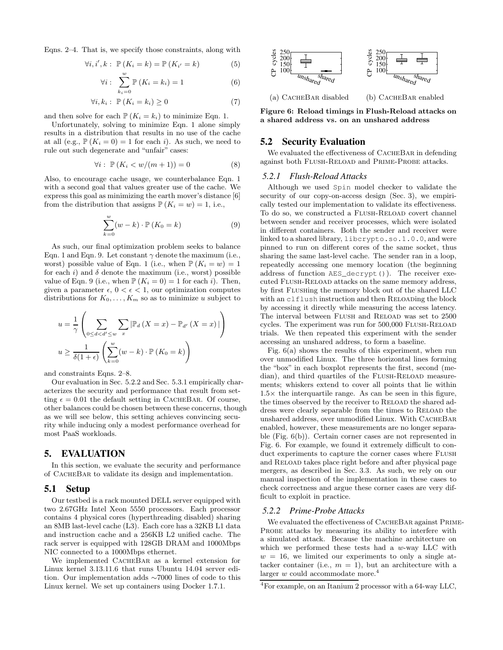Eqns. 2–4. That is, we specify those constraints, along with

$$
\forall i, i', k: \mathbb{P}\left(K_i = k\right) = \mathbb{P}\left(K_{i'} = k\right) \tag{5}
$$

$$
\forall i: \sum_{k_i=0} \mathbb{P}\left(K_i = k_i\right) = 1 \tag{6}
$$

$$
\forall i, k_i: \mathbb{P}\left(K_i = k_i\right) \ge 0\tag{7}
$$

and then solve for each  $\mathbb{P}(K_i = k_i)$  to minimize Eqn. 1.

Unfortunately, solving to minimize Eqn. 1 alone simply results in a distribution that results in no use of the cache at all (e.g.,  $\mathbb{P}(K_i = 0) = 1$  for each i). As such, we need to rule out such degenerate and "unfair" cases:

$$
\forall i: \mathbb{P}\left(K_i < w/(m+1)\right) = 0\tag{8}
$$

Also, to encourage cache usage, we counterbalance Eqn. 1 with a second goal that values greater use of the cache. We express this goal as minimizing the earth mover's distance [6] from the distribution that assigns  $\mathbb{P}(K_i = w) = 1$ , i.e.,

$$
\sum_{k=0}^{w} (w - k) \cdot \mathbb{P}(K_0 = k)
$$
\n(9)

As such, our final optimization problem seeks to balance Eqn. 1 and Eqn. 9. Let constant  $\gamma$  denote the maximum (i.e., worst) possible value of Eqn. 1 (i.e., when  $\mathbb{P}(K_i = w) = 1$ for each i) and  $\delta$  denote the maximum (i.e., worst) possible value of Eqn. 9 (i.e., when  $\mathbb{P}(K_i = 0) = 1$  for each i). Then, given a parameter  $\epsilon$ ,  $0 < \epsilon < 1$ , our optimization computes distributions for  $K_0, \ldots, K_m$  so as to minimize u subject to

$$
u = \frac{1}{\gamma} \left( \sum_{0 \le d < d' \le w} \sum_{x} |\mathbb{P}_d(X = x) - \mathbb{P}_{d'}(X = x)| \right)
$$
\n
$$
u \ge \frac{1}{\delta(1 + \epsilon)} \left( \sum_{k=0}^w (w - k) \cdot \mathbb{P}(K_0 = k) \right)
$$

and constraints Eqns. 2–8.

Our evaluation in Sec. 5.2.2 and Sec. 5.3.1 empirically characterizes the security and performance that result from setting  $\epsilon = 0.01$  the default setting in CACHEBAR. Of course, other balances could be chosen between these concerns, though as we will see below, this setting achieves convincing security while inducing only a modest performance overhead for most PaaS workloads.

## 5. EVALUATION

In this section, we evaluate the security and performance of CacheBar to validate its design and implementation.

## 5.1 Setup

Our testbed is a rack mounted DELL server equipped with two 2.67GHz Intel Xeon 5550 processors. Each processor contains 4 physical cores (hyperthreading disabled) sharing an 8MB last-level cache (L3). Each core has a 32KB L1 data and instruction cache and a 256KB L2 unified cache. The rack server is equipped with 128GB DRAM and 1000Mbps NIC connected to a 1000Mbps ethernet.

We implemented CACHEBAR as a kernel extension for Linux kernel 3.13.11.6 that runs Ubuntu 14.04 server edition. Our implementation adds ∼7000 lines of code to this Linux kernel. We set up containers using Docker 1.7.1.



Figure 6: Reload timings in Flush-Reload attacks on a shared address vs. on an unshared address

## 5.2 Security Evaluation

We evaluated the effectiveness of CACHEBAR in defending against both Flush-Reload and Prime-Probe attacks.

#### *5.2.1 Flush-Reload Attacks*

Although we used Spin model checker to validate the security of our copy-on-access design (Sec. 3), we empirically tested our implementation to validate its effectiveness. To do so, we constructed a FLUSH-RELOAD covert channel between sender and receiver processes, which were isolated in different containers. Both the sender and receiver were linked to a shared library, libcrypto.so.1.0.0, and were pinned to run on different cores of the same socket, thus sharing the same last-level cache. The sender ran in a loop, repeatedly accessing one memory location (the beginning address of function AES\_decrypt()). The receiver executed Flush-Reload attacks on the same memory address, by first Flushing the memory block out of the shared LLC with an clflush instruction and then RELOADing the block by accessing it directly while measuring the access latency. The interval between FLUSH and RELOAD was set to 2500 cycles. The experiment was run for 500,000 FLUSH-RELOAD trials. We then repeated this experiment with the sender accessing an unshared address, to form a baseline.

Fig. 6(a) shows the results of this experiment, when run over unmodified Linux. The three horizontal lines forming the "box" in each boxplot represents the first, second (median), and third quartiles of the FLUSH-RELOAD measurements; whiskers extend to cover all points that lie within  $1.5\times$  the interquartile range. As can be seen in this figure, the times observed by the receiver to RELOAD the shared address were clearly separable from the times to RELOAD the unshared address, over unmodified Linux. With CACHEBAR enabled, however, these measurements are no longer separable (Fig. 6(b)). Certain corner cases are not represented in Fig. 6. For example, we found it extremely difficult to conduct experiments to capture the corner cases where FLUSH and RELOAD takes place right before and after physical page mergers, as described in Sec. 3.3. As such, we rely on our manual inspection of the implementation in these cases to check correctness and argue these corner cases are very difficult to exploit in practice.

## *5.2.2 Prime-Probe Attacks*

We evaluated the effectiveness of CACHEBAR against PRIME-PROBE attacks by measuring its ability to interfere with a simulated attack. Because the machine architecture on which we performed these tests had a w-way LLC with  $w = 16$ , we limited our experiments to only a single attacker container (i.e.,  $m = 1$ ), but an architecture with a larger  $w$  could accommodate more.<sup>4</sup>

<sup>4</sup>For example, on an Itanium 2 processor with a 64-way LLC,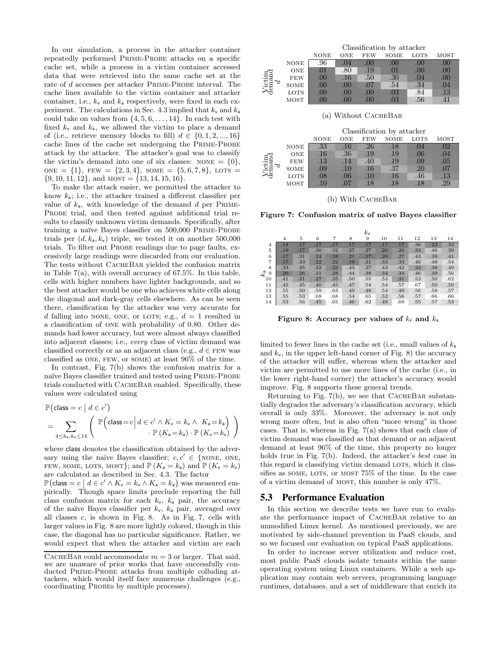In our simulation, a process in the attacker container repeatedly performed Prime-Probe attacks on a specific cache set, while a process in a victim container accessed data that were retrieved into the same cache set at the rate of d accesses per attacker Prime-Probe interval. The cache lines available to the victim container and attacker container, i.e.,  $k_v$  and  $k_a$  respectively, were fixed in each experiment. The calculations in Sec. 4.3 implied that  $k_{\nu}$  and  $k_{\mathsf{a}}$ could take on values from  $\{4, 5, 6, \ldots, 14\}$ . In each test with fixed  $k_v$  and  $k_a$ , we allowed the victim to place a demand of (i.e., retrieve memory blocks to fill)  $d \in \{0, 1, 2, ..., 16\}$ cache lines of the cache set undergoing the Prime-Probe attack by the attacker. The attacker's goal was to classify the victim's demand into one of six classes: NONE =  $\{0\}$ ,  $ONE = \{1\}$ , FEW =  $\{2, 3, 4\}$ , SOME =  $\{5, 6, 7, 8\}$ , LOTS =  $\{9, 10, 11, 12\}$ , and  $MOST = \{13, 14, 15, 16\}$ .

To make the attack easier, we permitted the attacker to know  $k_a$ ; i.e., the attacker trained a different classifier per value of  $k_a$ , with knowledge of the demand d per PRIME-PROBE trial, and then tested against additional trial results to classify unknown victim demands. Specifically, after training a naïve Bayes classifier on 500,000 PRIME-PROBE trials per  $(d, k_a, k_v)$  triple, we tested it on another 500,000 trials. To filter out PROBE readings due to page faults, excessively large readings were discarded from our evaluation. The tests without CACHEBAR vielded the confusion matrix in Table  $7(a)$ , with overall accuracy of 67.5%. In this table, cells with higher numbers have lighter backgrounds, and so the best attacker would be one who achieves white cells along the diagonal and dark-gray cells elsewhere. As can be seen there, classification by the attacker was very accurate for d falling into NONE, ONE, or LOTS; e.g.,  $d = 1$  resulted in a classification of one with probability of 0.80. Other demands had lower accuracy, but were almost always classified into adjacent classes; i.e., every class of victim demand was classified correctly or as an adjacent class (e.g.,  $d \in$  FEW was classified as one, few, or some) at least 96% of the time.

In contrast, Fig. 7(b) shows the confusion matrix for a naïve Bayes classifier trained and tested using PRIME-PROBE trials conducted with CACHEBAR enabled. Specifically, these values were calculated using

$$
\mathbb{P}(\text{class} = c \mid d \in c')
$$
\n
$$
= \sum_{4 \le k_a, k_v \le 14} \left( \mathbb{P}(\text{class} = c \mid d \in c' \land K_v = k_v \land K_a = k_a) \right)
$$
\n
$$
\mathbb{P}(K_a = k_a) \cdot \mathbb{P}(K_v = k_v) \right)
$$

where class denotes the classification obtained by the adversary using the naïve Bayes classifier;  $c, c' \in \{NONE, ONE,$ FEW, SOME, LOTS, MOST}; and  $\mathbb{P}(K_a = k_a)$  and  $\mathbb{P}(K_v = k_v)$ are calculated as described in Sec. 4.3. The factor

 $\mathbb{P}(\text{class} = c \mid d \in c' \land K_v = k_v \land K_a = k_a)$  was measured em-<br>which the Thomas move limits models are other that follows pirically. Though space limits preclude reporting the full class confusion matrix for each  $k_v$ ,  $k_a$  pair, the accuracy of the naïve Bayes classifier per  $k_v$ ,  $k_a$  pair, averaged over all classes c, is shown in Fig. 8. As in Fig. 7, cells with larger values in Fig. 8 are more lightly colored, though in this case, the diagonal has no particular significance. Rather, we would expect that when the attacker and victim are each

|    |             | Classification by attacker |      |            |             |             |             |
|----|-------------|----------------------------|------|------------|-------------|-------------|-------------|
|    |             | <b>NONE</b>                | ONE  | <b>FEW</b> | <b>SOME</b> | <b>LOTS</b> | <b>MOST</b> |
| Ξā | <b>NONE</b> | .96                        | (14) |            |             |             | .UU         |
|    | ONE         | .01                        | .80  | .19        | .01         | .00         | .00         |
|    | <b>FEW</b>  | .00.                       | .16  | .50        | .30         | .04         | .00         |
|    | SOME        | .00                        | .00  | .07        | .54         | .34         | .04         |
|    | <b>LOTS</b> | .00.                       | .00  | .00        | $.03\,$     | .84         | .13         |
|    | <b>MOST</b> | 00                         | .00  |            | .03         | .56         | .41         |

#### (a) Without CACHEBAR

|  |             | Classification by attacker |             |         |      |         |                |  |
|--|-------------|----------------------------|-------------|---------|------|---------|----------------|--|
|  |             | <b>LOTS</b>                | <b>MOST</b> |         |      |         |                |  |
|  | <b>NONE</b> | .33                        | .16         | 26      | -187 | 114     | 0 <sup>2</sup> |  |
|  | <b>ONE</b>  | .16                        | .36         | .19     | .19  | $.06\,$ | .04            |  |
|  | <b>FEW</b>  | .13                        | .14         | .40     | .19  | .09     | .05            |  |
|  | SOME        | .09                        | $.10\,$     | .16     | .37  | .20     | .07            |  |
|  | <b>LOTS</b> | .08                        | .06         | .10     | .16  | .46     | .13            |  |
|  | <b>MOST</b> | .10                        | .07         | $.18\,$ | .18  | .18     | .29            |  |

(b) With CACHEBAR

Figure 7: Confusion matrix of naïve Bayes classifier

|                |     |     |     |     |     | $k_{\rm v}$ |     |     |     |     |     |
|----------------|-----|-----|-----|-----|-----|-------------|-----|-----|-----|-----|-----|
|                | 4   | 5   | 6   | 7   | 8   | 9           | 10  | 11  | 12  | 13  | 14  |
| 4              | .18 | .17 | .17 | .17 | .17 | .17         | .17 | .17 | .36 | .22 | .33 |
| 5              | .19 | .17 | .30 | .32 | .27 | .27         | .20 | .26 | .33 | .46 | .39 |
| 6              | .17 | .31 | .24 | .18 | .21 | .17         | .20 | .27 | .43 | .39 | .41 |
| $\overline{7}$ | .17 | .33 | .22 | .22 | .19 | .31         | .33 | .33 | .46 | .48 | .54 |
| 8              | .33 | .35 | .32 | .23 | .43 | .37         | .43 | .42 | .32 | .38 | .49 |
| ka<br>9        | .20 | .26 | .31 | .28 | .44 | .38         | .34 | .34 | .46 | .39 | .56 |
| 10             | .41 | .31 | .27 | .35 | .50 | .55         | .53 | .31 | .53 | .50 | .62 |
| 11             | .45 | .45 | .40 | .45 | .47 | .54         | .54 | .57 | .67 | .50 | .50 |
| 12             | .55 | .50 | .59 | .63 | .49 | .48         | .54 | .49 | .56 | .58 | .57 |
| 13             | .55 | .53 | .68 | .68 | .54 | .65         | .52 | .56 | .57 | .66 | .66 |
| 14             | .53 | .56 | .45 | .65 | .46 | .62         | .48 | .68 | .55 | .57 | .53 |

Figure 8: Accuracy per values of  $k_v$  and  $k_a$ 

limited to fewer lines in the cache set (i.e., small values of  $k_a$ ) and  $k_v$ , in the upper left-hand corner of Fig. 8) the accuracy of the attacker will suffer, whereas when the attacker and victim are permitted to use more lines of the cache (i.e., in the lower right-hand corner) the attacker's accuracy would improve. Fig. 8 supports these general trends.

Returning to Fig.  $7(b)$ , we see that CACHEBAR substantially degrades the adversary's classification accuracy, which overall is only 33%. Moreover, the adversary is not only wrong more often, but is also often "more wrong" in those cases. That is, whereas in Fig. 7(a) shows that each class of victim demand was classified as that demand or an adjacent demand at least 96% of the time, this property no longer holds true in Fig. 7(b). Indeed, the attacker's *best* case in this regard is classifying victim demand LOTS, which it classifies as SOME, LOTS, or MOST  $75\%$  of the time. In the case of a victim demand of most, this number is only 47%.

#### 5.3 Performance Evaluation

In this section we describe tests we have run to evaluate the performance impact of CACHEBAR relative to an unmodified Linux kernel. As mentioned previously, we are motivated by side-channel prevention in PaaS clouds, and so we focused our evaluation on typical PaaS applications.

In order to increase server utilization and reduce cost, most public PaaS clouds isolate tenants within the same operating system using Linux containers. While a web application may contain web servers, programming language runtimes, databases, and a set of middleware that enrich its

CACHEBAR could accommodate  $m = 3$  or larger. That said, we are unaware of prior works that have successfully conducted Prime-Probe attacks from multiple colluding attackers, which would itself face numerous challenges  $(e.g.,)$ coordinating PROBES by multiple processes).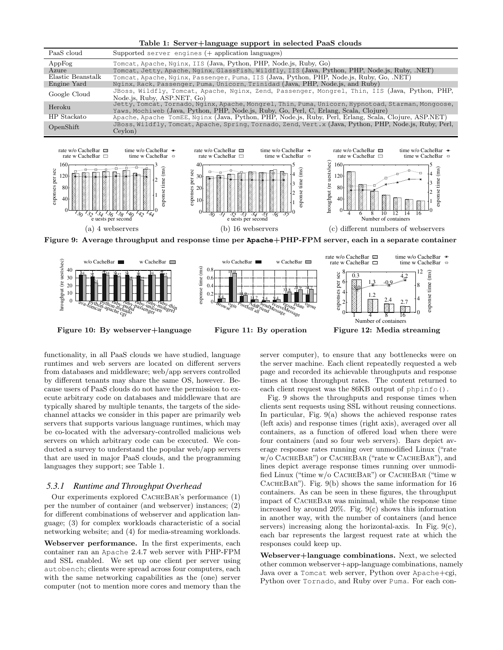|                   | Table 1: Server+language support in selected PaaS clouds                                                                      |
|-------------------|-------------------------------------------------------------------------------------------------------------------------------|
| PaaS cloud        | Supported server engines $(+)$ application languages)                                                                         |
| AppFog            | Tomcat, Apache, Nginx, IIS (Java, Python, PHP, Node.js, Ruby, Go)                                                             |
| Azure             | Tomcat, Jetty, Apache, Nginx, GlassFish, Wildfly, IIS (Java, Python, PHP, Node.js, Ruby, .NET)                                |
| Elastic Beanstalk | Tomcat, Apache, Nginx, Passenger, Puma, IIS (Java, Python, PHP, Node.js, Ruby, Go, .NET)                                      |
| Engine Yard       | Nginx, Rack, Passenger, Puma, Unicorn, Trinidad (Java, PHP, Node.js, and Ruby)                                                |
| Google Cloud      | JBoss, Wildfly, Tomcat, Apache, Nginx, Zend, Passenger, Mongrel, Thin, IIS (Java, Python, PHP,<br>Node.js, Ruby, ASP.NET, Go) |
| Heroku            | Jetty, Tomcat, Tornado, Nginx, Apache, Mongrel, Thin, Puma, Unicorn, Hypnotoad, Starman, Mongoose,                            |
|                   | Yaws, Mochiweb (Java, Python, PHP, Node.js, Ruby, Go, Perl, C, Erlang, Scala, Clojure)                                        |
| HP Stackato       | Apache, Apache TomEE, Nginx (Java, Python, PHP, Node.js, Ruby, Perl, Erlang, Scala, Clojure, ASP.NET)                         |
| OpenShift         | JBoss, Wildfly, Tomcat, Apache, Spring, Tornado, Zend, Vert.x (Java, Python, PHP, Node.js, Ruby, Perl,<br>Ceylon)             |



Figure 9: Average throughput and response time per **Apache**+PHP-FPM server, each in a separate container



functionality, in all PaaS clouds we have studied, language runtimes and web servers are located on different servers from databases and middleware; web/app servers controlled by different tenants may share the same OS, however. Because users of PaaS clouds do not have the permission to execute arbitrary code on databases and middleware that are typically shared by multiple tenants, the targets of the sidechannel attacks we consider in this paper are primarily web servers that supports various language runtimes, which may be co-located with the adversary-controlled malicious web servers on which arbitrary code can be executed. We conducted a survey to understand the popular web/app servers that are used in major PaaS clouds, and the programming languages they support; see Table 1.

#### *5.3.1 Runtime and Throughput Overhead*

Our experiments explored CACHEBAR's performance (1) per the number of container (and webserver) instances; (2) for different combinations of webserver and application language; (3) for complex workloads characteristic of a social networking website; and (4) for media-streaming workloads.

Webserver performance. In the first experiments, each container ran an Apache 2.4.7 web server with PHP-FPM and SSL enabled. We set up one client per server using autobench; clients were spread across four computers, each with the same networking capabilities as the (one) server computer (not to mention more cores and memory than the

server computer), to ensure that any bottlenecks were on the server machine. Each client repeatedly requested a web page and recorded its achievable throughputs and response times at those throughput rates. The content returned to each client request was the 86KB output of phpinfo().

Fig. 9 shows the throughputs and response times when clients sent requests using SSL without reusing connections. In particular, Fig. 9(a) shows the achieved response rates (left axis) and response times (right axis), averaged over all containers, as a function of offered load when there were four containers (and so four web servers). Bars depict average response rates running over unmodified Linux ("rate w/o CacheBar") or CacheBar ("rate w CacheBar"), and lines depict average response times running over unmodified Linux ("time w/o CacheBar") or CacheBar ("time w CACHEBAR"). Fig.  $9(b)$  shows the same information for 16 containers. As can be seen in these figures, the throughput impact of CacheBar was minimal, while the response time increased by around  $20\%$ . Fig.  $9(c)$  shows this information in another way, with the number of containers (and hence servers) increasing along the horizontal-axis. In Fig.  $9(c)$ , each bar represents the largest request rate at which the responses could keep up.

Webserver+language combinations. Next, we selected other common webserver+app-language combinations, namely Java over a Tomcat web server, Python over Apache+cgi, Python over Tornado, and Ruby over Puma. For each con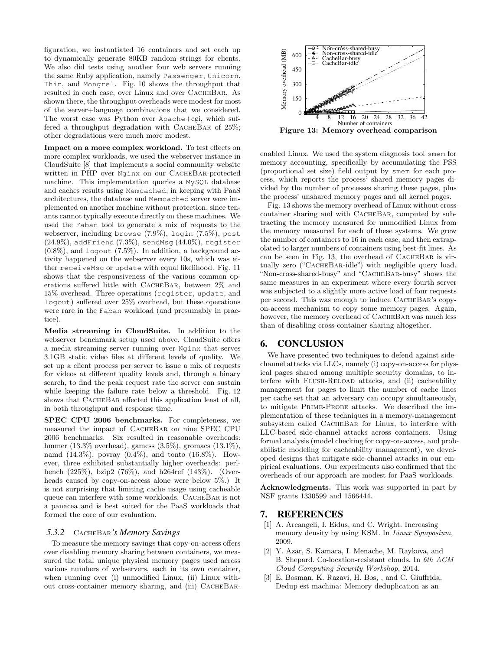figuration, we instantiated 16 containers and set each up to dynamically generate 80KB random strings for clients. We also did tests using another four web servers running the same Ruby application, namely Passenger, Unicorn, Thin, and Mongrel. Fig. 10 shows the throughput that resulted in each case, over Linux and over CacheBar. As shown there, the throughput overheads were modest for most of the server+language combinations that we considered. The worst case was Python over Apache+cgi, which suffered a throughput degradation with CACHEBAR of 25%; other degradations were much more modest.

Impact on a more complex workload. To test effects on more complex workloads, we used the webserver instance in CloudSuite [8] that implements a social community website written in PHP over Nginx on our CACHEBAR-protected machine. This implementation queries a MySQL database and caches results using Memcached; in keeping with PaaS architectures, the database and Memcached server were implemented on another machine without protection, since tenants cannot typically execute directly on these machines. We used the Faban tool to generate a mix of requests to the webserver, including browse (7.9%), login (7.5%), post  $(24.9\%)$ , addFriend  $(7.3\%)$ , sendMsg  $(44.0\%)$ , register  $(0.8\%)$ , and logout  $(7.5\%)$ . In addition, a background activity happened on the webserver every 10s, which was either receiveMsg or update with equal likelihood. Fig. 11 shows that the responsiveness of the various common operations suffered little with CacheBar, between 2% and 15% overhead. Three operations (register, update, and logout) suffered over 25% overhead, but these operations were rare in the Faban workload (and presumably in practice).

Media streaming in CloudSuite. In addition to the webserver benchmark setup used above, CloudSuite offers a media streaming server running over Nginx that serves 3.1GB static video files at different levels of quality. We set up a client process per server to issue a mix of requests for videos at different quality levels and, through a binary search, to find the peak request rate the server can sustain while keeping the failure rate below a threshold. Fig. 12 shows that CACHEBAR affected this application least of all, in both throughput and response time.

SPEC CPU 2006 benchmarks. For completeness, we measured the impact of CacheBar on nine SPEC CPU 2006 benchmarks. Six resulted in reasonable overheads: hmmer (13.3% overhead), gamess (3.5%), gromacs (13.1%), namd  $(14.3\%)$ , povray  $(0.4\%)$ , and tonto  $(16.8\%)$ . However, three exhibited substantially higher overheads: perlbench (225%), bzip2 (76%), and h264ref (143%). (Overheads caused by copy-on-access alone were below 5%.) It is not surprising that limiting cache usage using cacheable queue can interfere with some workloads. CacheBar is not a panacea and is best suited for the PaaS workloads that formed the core of our evaluation.

#### *5.3.2* CacheBar*'s Memory Savings*

To measure the memory savings that copy-on-access offers over disabling memory sharing between containers, we measured the total unique physical memory pages used across various numbers of webservers, each in its own container, when running over (i) unmodified Linux, (ii) Linux without cross-container memory sharing, and (iii) CACHEBAR-



enabled Linux. We used the system diagnosis tool smem for memory accounting, specifically by accumulating the PSS (proportional set size) field output by smem for each process, which reports the process' shared memory pages divided by the number of processes sharing these pages, plus the process' unshared memory pages and all kernel pages.

Fig. 13 shows the memory overhead of Linux without crosscontainer sharing and with CACHEBAR, computed by subtracting the memory measured for unmodified Linux from the memory measured for each of these systems. We grew the number of containers to 16 in each case, and then extrapolated to larger numbers of containers using best-fit lines. As can be seen in Fig. 13, the overhead of CACHEBAR is virtually zero ("CACHEBAR-idle") with negligible query load. "Non-cross-shared-busy" and "CacheBar-busy" shows the same measures in an experiment where every fourth server was subjected to a slightly more active load of four requests per second. This was enough to induce CACHEBAR's copyon-access mechanism to copy some memory pages. Again, however, the memory overhead of CACHEBAR was much less than of disabling cross-container sharing altogether.

# 6. CONCLUSION

We have presented two techniques to defend against sidechannel attacks via LLCs, namely (i) copy-on-access for physical pages shared among multiple security domains, to interfere with Flush-Reload attacks, and (ii) cacheability management for pages to limit the number of cache lines per cache set that an adversary can occupy simultaneously, to mitigate Prime-Probe attacks. We described the implementation of these techniques in a memory-management subsystem called CACHEBAR for Linux, to interfere with LLC-based side-channel attacks across containers. Using formal analysis (model checking for copy-on-access, and probabilistic modeling for cacheability management), we developed designs that mitigate side-channel attacks in our empirical evaluations. Our experiments also confirmed that the overheads of our approach are modest for PaaS workloads.

Acknowledgments. This work was supported in part by NSF grants 1330599 and 1566444.

## 7. REFERENCES

- [1] A. Arcangeli, I. Eidus, and C. Wright. Increasing memory density by using KSM. In *Linux Symposium*, 2009.
- [2] Y. Azar, S. Kamara, I. Menache, M. Raykova, and B. Shepard. Co-location-resistant clouds. In 6th ACM Cloud Computing Security Workshop, 2014.
- [3] E. Bosman, K. Razavi, H. Bos, , and C. Giuffrida. Dedup est machina: Memory deduplication as an